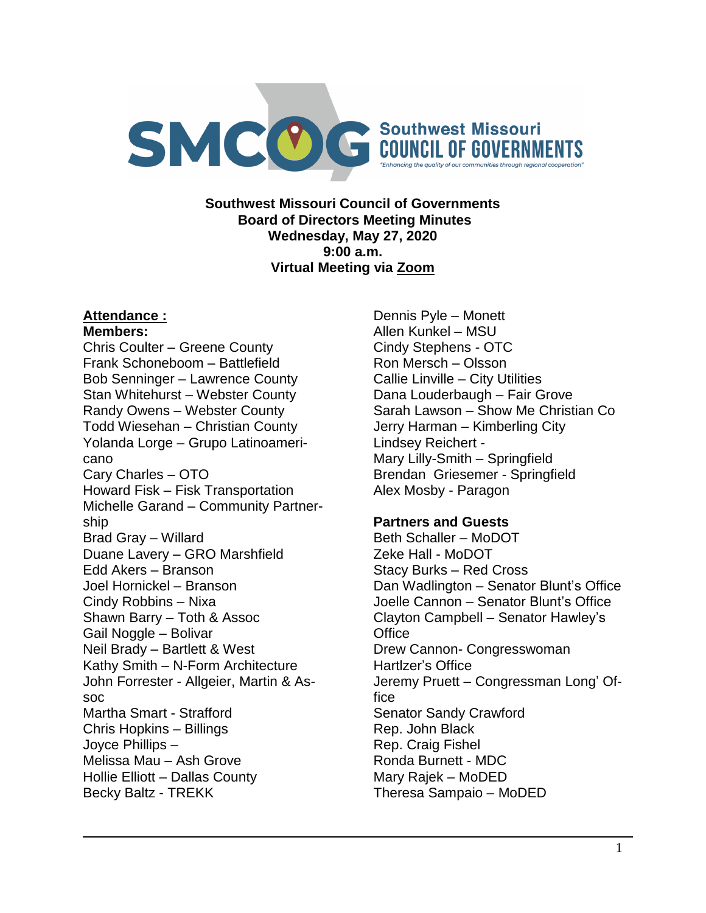

**Southwest Missouri Council of Governments Board of Directors Meeting Minutes Wednesday, May 27, 2020 9:00 a.m. Virtual Meeting via Zoom**

## **Attendance :**

#### **Members:**

Chris Coulter – Greene County Frank Schoneboom – Battlefield Bob Senninger – Lawrence County Stan Whitehurst – Webster County Randy Owens – Webster County Todd Wiesehan – Christian County Yolanda Lorge – Grupo Latinoamericano Cary Charles – OTO Howard Fisk – Fisk Transportation Michelle Garand – Community Partnership Brad Gray – Willard Duane Lavery – GRO Marshfield Edd Akers – Branson Joel Hornickel – Branson Cindy Robbins – Nixa Shawn Barry – Toth & Assoc Gail Noggle – Bolivar Neil Brady – Bartlett & West Kathy Smith – N-Form Architecture John Forrester - Allgeier, Martin & Assoc Martha Smart - Strafford Chris Hopkins – Billings Joyce Phillips – Melissa Mau – Ash Grove Hollie Elliott – Dallas County Becky Baltz - TREKK

Dennis Pyle – Monett Allen Kunkel – MSU Cindy Stephens - OTC Ron Mersch – Olsson Callie Linville – City Utilities Dana Louderbaugh – Fair Grove Sarah Lawson – Show Me Christian Co Jerry Harman – Kimberling City Lindsey Reichert - Mary Lilly-Smith – Springfield Brendan Griesemer - Springfield Alex Mosby - Paragon

## **Partners and Guests**

Beth Schaller – MoDOT Zeke Hall - MoDOT Stacy Burks – Red Cross Dan Wadlington – Senator Blunt's Office Joelle Cannon – Senator Blunt's Office Clayton Campbell – Senator Hawley's **Office** Drew Cannon- Congresswoman Hartlzer's Office Jeremy Pruett – Congressman Long' Office Senator Sandy Crawford Rep. John Black Rep. Craig Fishel Ronda Burnett - MDC Mary Rajek – MoDED Theresa Sampaio – MoDED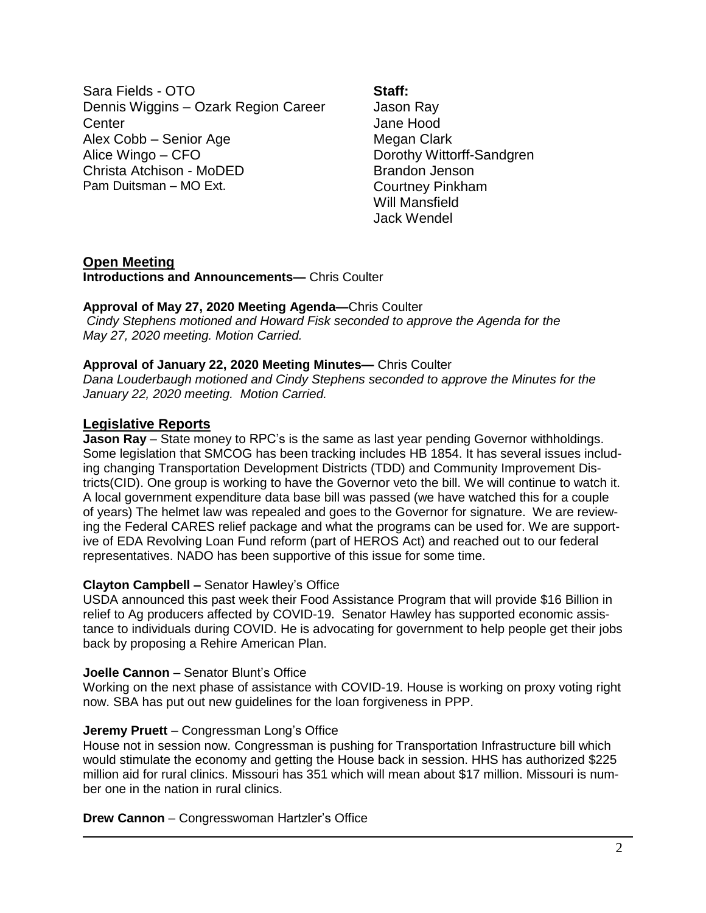Sara Fields - OTO Dennis Wiggins – Ozark Region Career **Center** Alex Cobb – Senior Age Alice Wingo – CFO Christa Atchison - MoDED Pam Duitsman – MO Ext.

#### **Staff:**

Jason Ray Jane Hood Megan Clark Dorothy Wittorff-Sandgren Brandon Jenson Courtney Pinkham Will Mansfield Jack Wendel

## **Open Meeting**

**Introductions and Announcements—** Chris Coulter

#### **Approval of May 27, 2020 Meeting Agenda—**Chris Coulter *Cindy Stephens motioned and Howard Fisk seconded to approve the Agenda for the May 27, 2020 meeting. Motion Carried.*

## **Approval of January 22, 2020 Meeting Minutes—** Chris Coulter

*Dana Louderbaugh motioned and Cindy Stephens seconded to approve the Minutes for the January 22, 2020 meeting. Motion Carried.*

## **Legislative Reports**

**Jason Ray** – State money to RPC's is the same as last year pending Governor withholdings. Some legislation that SMCOG has been tracking includes HB 1854. It has several issues including changing Transportation Development Districts (TDD) and Community Improvement Districts(CID). One group is working to have the Governor veto the bill. We will continue to watch it. A local government expenditure data base bill was passed (we have watched this for a couple of years) The helmet law was repealed and goes to the Governor for signature. We are reviewing the Federal CARES relief package and what the programs can be used for. We are supportive of EDA Revolving Loan Fund reform (part of HEROS Act) and reached out to our federal representatives. NADO has been supportive of this issue for some time.

## **Clayton Campbell –** Senator Hawley's Office

USDA announced this past week their Food Assistance Program that will provide \$16 Billion in relief to Ag producers affected by COVID-19. Senator Hawley has supported economic assistance to individuals during COVID. He is advocating for government to help people get their jobs back by proposing a Rehire American Plan.

## **Joelle Cannon** – Senator Blunt's Office

Working on the next phase of assistance with COVID-19. House is working on proxy voting right now. SBA has put out new guidelines for the loan forgiveness in PPP.

## **Jeremy Pruett** – Congressman Long's Office

House not in session now. Congressman is pushing for Transportation Infrastructure bill which would stimulate the economy and getting the House back in session. HHS has authorized \$225 million aid for rural clinics. Missouri has 351 which will mean about \$17 million. Missouri is number one in the nation in rural clinics.

#### **Drew Cannon** – Congresswoman Hartzler's Office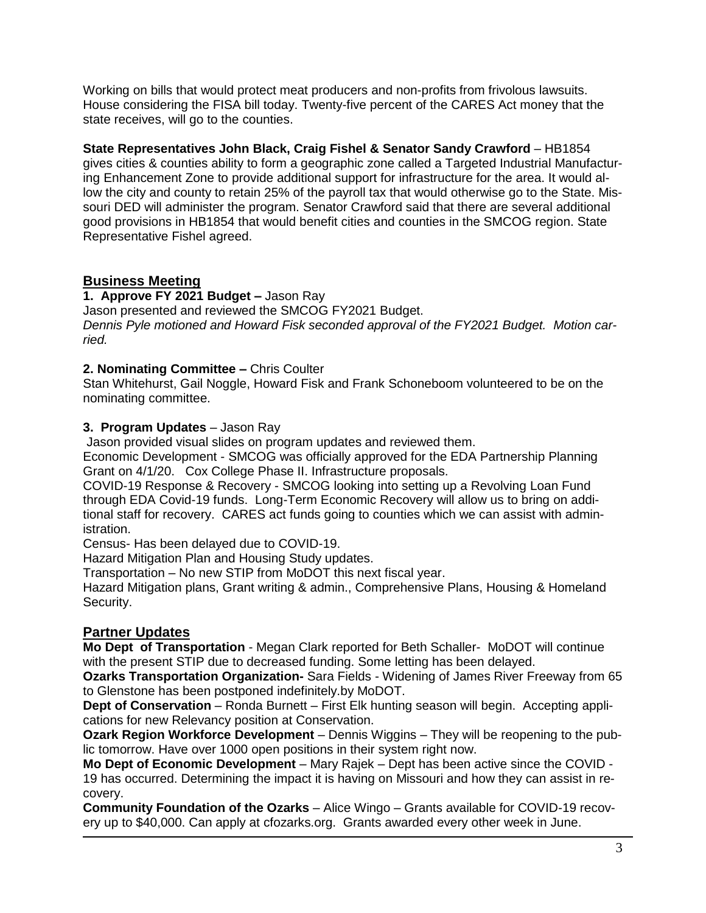Working on bills that would protect meat producers and non-profits from frivolous lawsuits. House considering the FISA bill today. Twenty-five percent of the CARES Act money that the state receives, will go to the counties.

**State Representatives John Black, Craig Fishel & Senator Sandy Crawford** – HB1854 gives cities & counties ability to form a geographic zone called a Targeted Industrial Manufacturing Enhancement Zone to provide additional support for infrastructure for the area. It would allow the city and county to retain 25% of the payroll tax that would otherwise go to the State. Missouri DED will administer the program. Senator Crawford said that there are several additional good provisions in HB1854 that would benefit cities and counties in the SMCOG region. State Representative Fishel agreed.

# **Business Meeting**

**1. Approve FY 2021 Budget –** Jason Ray Jason presented and reviewed the SMCOG FY2021 Budget. *Dennis Pyle motioned and Howard Fisk seconded approval of the FY2021 Budget. Motion carried.*

## **2. Nominating Committee –** Chris Coulter

Stan Whitehurst, Gail Noggle, Howard Fisk and Frank Schoneboom volunteered to be on the nominating committee.

## **3. Program Updates** – Jason Ray

Jason provided visual slides on program updates and reviewed them.

Economic Development - SMCOG was officially approved for the EDA Partnership Planning Grant on 4/1/20. Cox College Phase II. Infrastructure proposals.

COVID-19 Response & Recovery - SMCOG looking into setting up a Revolving Loan Fund through EDA Covid-19 funds. Long-Term Economic Recovery will allow us to bring on additional staff for recovery. CARES act funds going to counties which we can assist with administration.

Census- Has been delayed due to COVID-19.

Hazard Mitigation Plan and Housing Study updates.

Transportation – No new STIP from MoDOT this next fiscal year.

Hazard Mitigation plans, Grant writing & admin., Comprehensive Plans, Housing & Homeland Security.

# **Partner Updates**

**Mo Dept of Transportation** - Megan Clark reported for Beth Schaller- MoDOT will continue with the present STIP due to decreased funding. Some letting has been delayed.

**Ozarks Transportation Organization-** Sara Fields - Widening of James River Freeway from 65 to Glenstone has been postponed indefinitely.by MoDOT.

**Dept of Conservation** – Ronda Burnett – First Elk hunting season will begin. Accepting applications for new Relevancy position at Conservation.

**Ozark Region Workforce Development** – Dennis Wiggins – They will be reopening to the public tomorrow. Have over 1000 open positions in their system right now.

**Mo Dept of Economic Development** – Mary Rajek – Dept has been active since the COVID - 19 has occurred. Determining the impact it is having on Missouri and how they can assist in recovery.

**Community Foundation of the Ozarks** – Alice Wingo – Grants available for COVID-19 recovery up to \$40,000. Can apply at cfozarks.org. Grants awarded every other week in June.